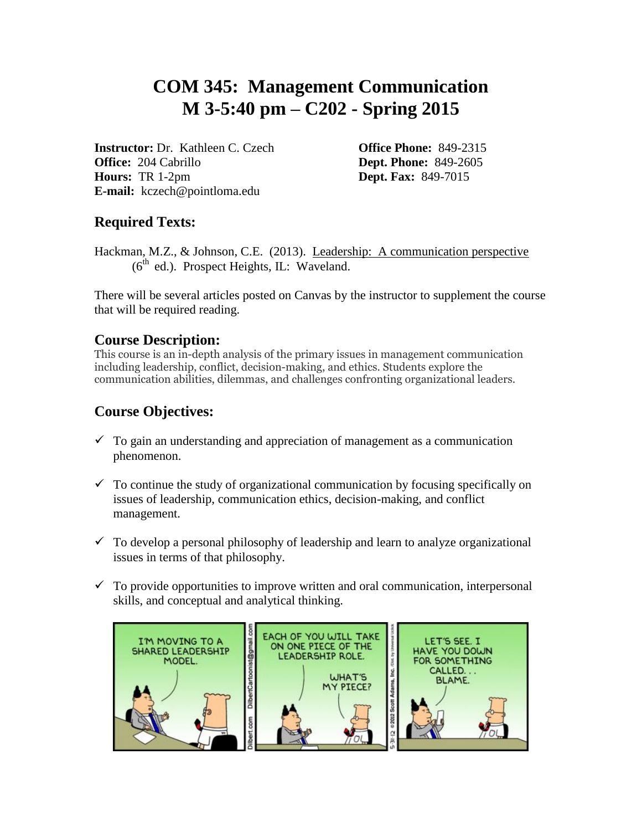# **COM 345: Management Communication M 3-5:40 pm – C202 - Spring 2015**

**Instructor:** Dr. Kathleen C. Czech **Office Phone:** 849-2315 **Office:** 204 Cabrillo **Dept. Phone:** 849-2605 **Hours:** TR 1-2pm **Dept. Fax:** 849-7015 **E-mail:** kczech@pointloma.edu

# **Required Texts:**

Hackman, M.Z., & Johnson, C.E. (2013). Leadership: A communication perspective  $(6<sup>th</sup>$  ed.). Prospect Heights, IL: Waveland.

There will be several articles posted on Canvas by the instructor to supplement the course that will be required reading.

## **Course Description:**

This course is an in-depth analysis of the primary issues in management communication including leadership, conflict, decision-making, and ethics. Students explore the communication abilities, dilemmas, and challenges confronting organizational leaders.

# **Course Objectives:**

- $\checkmark$  To gain an understanding and appreciation of management as a communication phenomenon.
- $\checkmark$  To continue the study of organizational communication by focusing specifically on issues of leadership, communication ethics, decision-making, and conflict management.
- $\checkmark$  To develop a personal philosophy of leadership and learn to analyze organizational issues in terms of that philosophy.
- $\checkmark$  To provide opportunities to improve written and oral communication, interpersonal skills, and conceptual and analytical thinking.

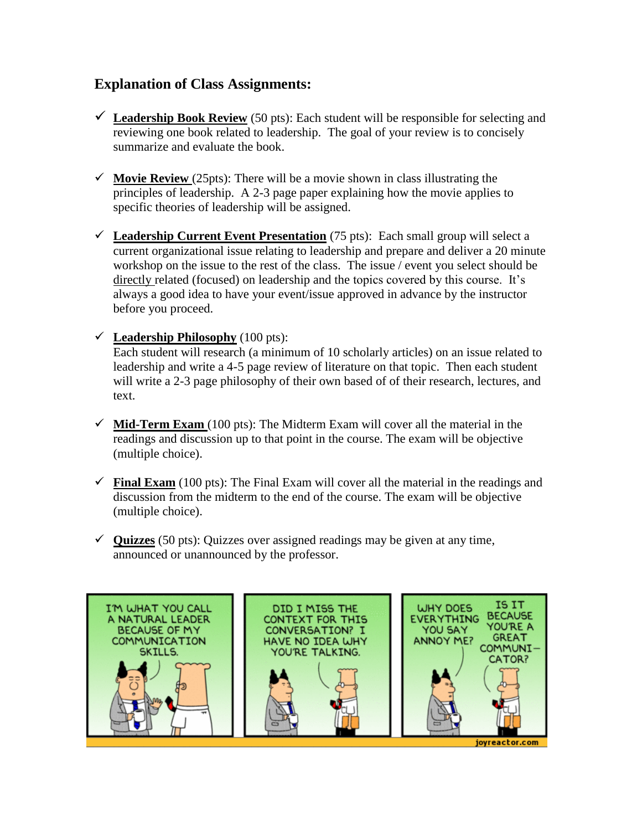## **Explanation of Class Assignments:**

- **Leadership Book Review** (50 pts): Each student will be responsible for selecting and reviewing one book related to leadership. The goal of your review is to concisely summarize and evaluate the book.
- $\checkmark$  **Movie Review** (25pts): There will be a movie shown in class illustrating the principles of leadership. A 2-3 page paper explaining how the movie applies to specific theories of leadership will be assigned.
- $\checkmark$  Leadership Current Event Presentation (75 pts): Each small group will select a current organizational issue relating to leadership and prepare and deliver a 20 minute workshop on the issue to the rest of the class. The issue / event you select should be directly related (focused) on leadership and the topics covered by this course. It's always a good idea to have your event/issue approved in advance by the instructor before you proceed.
- $\checkmark$  Leadership Philosophy (100 pts):

Each student will research (a minimum of 10 scholarly articles) on an issue related to leadership and write a 4-5 page review of literature on that topic. Then each student will write a 2-3 page philosophy of their own based of of their research, lectures, and text.

- $\checkmark$  Mid-Term Exam (100 pts): The Midterm Exam will cover all the material in the readings and discussion up to that point in the course. The exam will be objective (multiple choice).
- **Final Exam** (100 pts): The Final Exam will cover all the material in the readings and discussion from the midterm to the end of the course. The exam will be objective (multiple choice).
- $\checkmark$  Quizzes (50 pts): Quizzes over assigned readings may be given at any time, announced or unannounced by the professor.

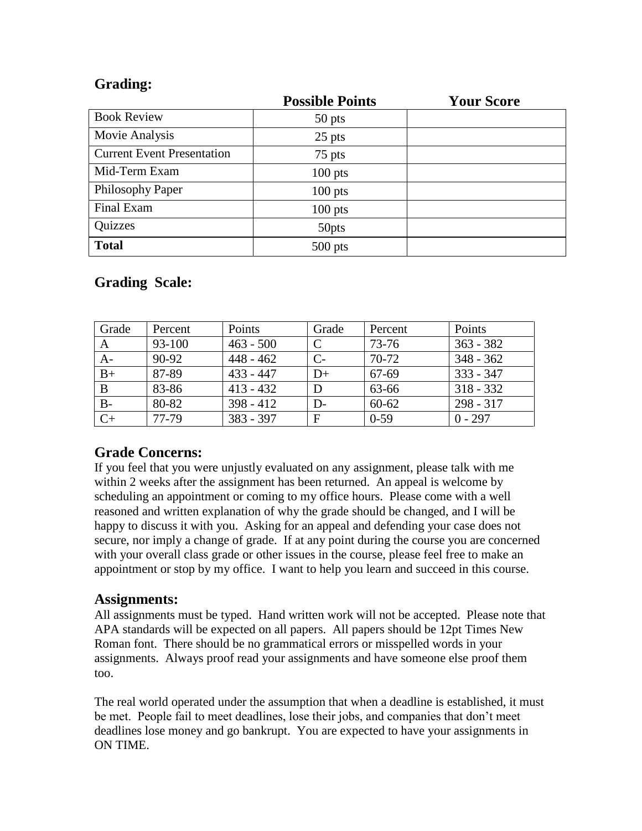## **Grading:**

|                                   | <b>Possible Points</b> | <b>Your Score</b> |
|-----------------------------------|------------------------|-------------------|
| <b>Book Review</b>                | 50 pts                 |                   |
| Movie Analysis                    | $25$ pts               |                   |
| <b>Current Event Presentation</b> | 75 pts                 |                   |
| Mid-Term Exam                     | $100$ pts              |                   |
| Philosophy Paper                  | $100$ pts              |                   |
| Final Exam                        | $100$ pts              |                   |
| Quizzes                           | 50pts                  |                   |
| <b>Total</b>                      | $500$ pts              |                   |

# **Grading Scale:**

| Grade        | Percent | Points      | Grade | Percent   | Points      |
|--------------|---------|-------------|-------|-----------|-------------|
| A            | 93-100  | $463 - 500$ |       | $73 - 76$ | $363 - 382$ |
| $A-$         | 90-92   | $448 - 462$ | $C-$  | $70-72$   | $348 - 362$ |
| $B+$         | 87-89   | $433 - 447$ | $D+$  | 67-69     | $333 - 347$ |
| $\mathbf{B}$ | 83-86   | $413 - 432$ | D     | 63-66     | $318 - 332$ |
| $B-$         | 80-82   | $398 - 412$ | $D-$  | $60 - 62$ | $298 - 317$ |
| $C+$         | 77-79   | $383 - 397$ | F     | $0-59$    | $0 - 297$   |

## **Grade Concerns:**

If you feel that you were unjustly evaluated on any assignment, please talk with me within 2 weeks after the assignment has been returned. An appeal is welcome by scheduling an appointment or coming to my office hours. Please come with a well reasoned and written explanation of why the grade should be changed, and I will be happy to discuss it with you. Asking for an appeal and defending your case does not secure, nor imply a change of grade. If at any point during the course you are concerned with your overall class grade or other issues in the course, please feel free to make an appointment or stop by my office. I want to help you learn and succeed in this course.

#### **Assignments:**

All assignments must be typed. Hand written work will not be accepted. Please note that APA standards will be expected on all papers. All papers should be 12pt Times New Roman font. There should be no grammatical errors or misspelled words in your assignments. Always proof read your assignments and have someone else proof them too.

The real world operated under the assumption that when a deadline is established, it must be met. People fail to meet deadlines, lose their jobs, and companies that don't meet deadlines lose money and go bankrupt. You are expected to have your assignments in ON TIME.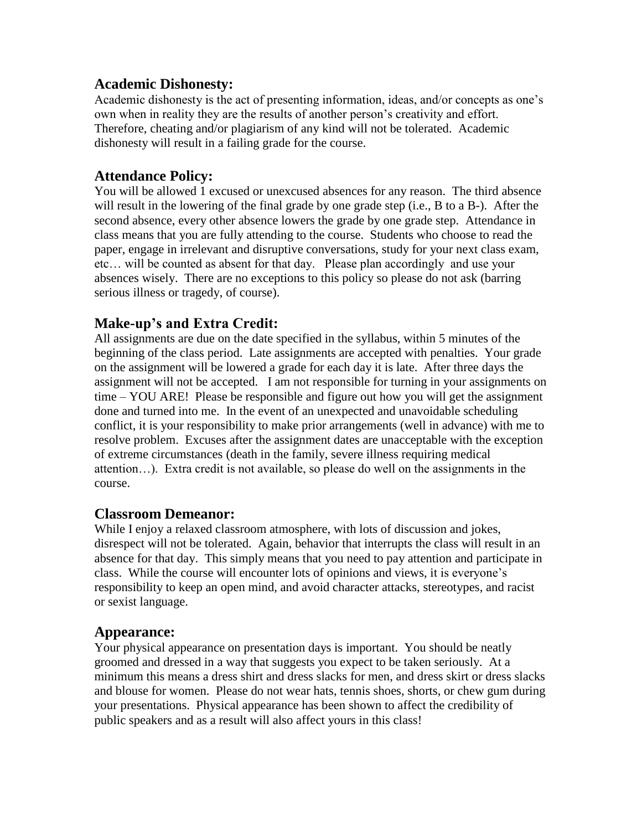#### **Academic Dishonesty:**

Academic dishonesty is the act of presenting information, ideas, and/or concepts as one's own when in reality they are the results of another person's creativity and effort. Therefore, cheating and/or plagiarism of any kind will not be tolerated. Academic dishonesty will result in a failing grade for the course.

#### **Attendance Policy:**

You will be allowed 1 excused or unexcused absences for any reason. The third absence will result in the lowering of the final grade by one grade step (i.e., B to a B-). After the second absence, every other absence lowers the grade by one grade step. Attendance in class means that you are fully attending to the course. Students who choose to read the paper, engage in irrelevant and disruptive conversations, study for your next class exam, etc… will be counted as absent for that day. Please plan accordingly and use your absences wisely. There are no exceptions to this policy so please do not ask (barring serious illness or tragedy, of course).

## **Make-up's and Extra Credit:**

All assignments are due on the date specified in the syllabus, within 5 minutes of the beginning of the class period. Late assignments are accepted with penalties. Your grade on the assignment will be lowered a grade for each day it is late. After three days the assignment will not be accepted. I am not responsible for turning in your assignments on time – YOU ARE! Please be responsible and figure out how you will get the assignment done and turned into me. In the event of an unexpected and unavoidable scheduling conflict, it is your responsibility to make prior arrangements (well in advance) with me to resolve problem. Excuses after the assignment dates are unacceptable with the exception of extreme circumstances (death in the family, severe illness requiring medical attention…). Extra credit is not available, so please do well on the assignments in the course.

## **Classroom Demeanor:**

While I enjoy a relaxed classroom atmosphere, with lots of discussion and jokes, disrespect will not be tolerated. Again, behavior that interrupts the class will result in an absence for that day. This simply means that you need to pay attention and participate in class. While the course will encounter lots of opinions and views, it is everyone's responsibility to keep an open mind, and avoid character attacks, stereotypes, and racist or sexist language.

#### **Appearance:**

Your physical appearance on presentation days is important. You should be neatly groomed and dressed in a way that suggests you expect to be taken seriously. At a minimum this means a dress shirt and dress slacks for men, and dress skirt or dress slacks and blouse for women. Please do not wear hats, tennis shoes, shorts, or chew gum during your presentations. Physical appearance has been shown to affect the credibility of public speakers and as a result will also affect yours in this class!